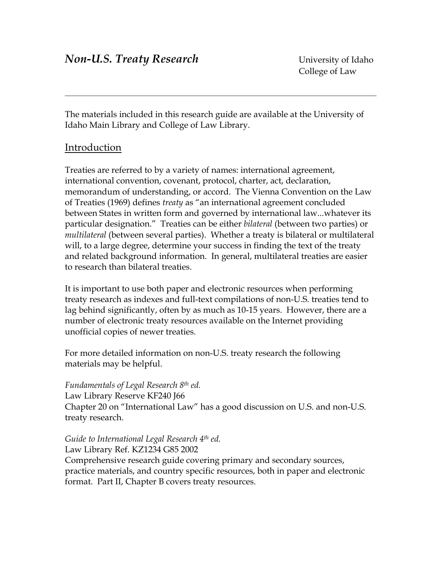The materials included in this research guide are available at the University of Idaho Main Library and College of Law Library.

# Introduction

Treaties are referred to by a variety of names: international agreement, international convention, covenant, protocol, charter, act, declaration, memorandum of understanding, or accord. The Vienna Convention on the Law of Treaties (1969) defines *treaty* as "an international agreement concluded between States in written form and governed by international law...whatever its particular designation." Treaties can be either *bilateral* (between two parties) or *multilateral* (between several parties). Whether a treaty is bilateral or multilateral will, to a large degree, determine your success in finding the text of the treaty and related background information. In general, multilateral treaties are easier to research than bilateral treaties.

It is important to use both paper and electronic resources when performing treaty research as indexes and full-text compilations of non-U.S. treaties tend to lag behind significantly, often by as much as 10-15 years. However, there are a number of electronic treaty resources available on the Internet providing unofficial copies of newer treaties.

For more detailed information on non-U.S. treaty research the following materials may be helpful.

*Fundamentals of Legal Research 8th ed.*  Law Library Reserve KF240 J66 Chapter 20 on "International Law" has a good discussion on U.S. and non-U.S. treaty research.

*Guide to International Legal Research 4th ed.* 

Law Library Ref. KZ1234 G85 2002 Comprehensive research guide covering primary and secondary sources, practice materials, and country specific resources, both in paper and electronic format. Part II, Chapter B covers treaty resources.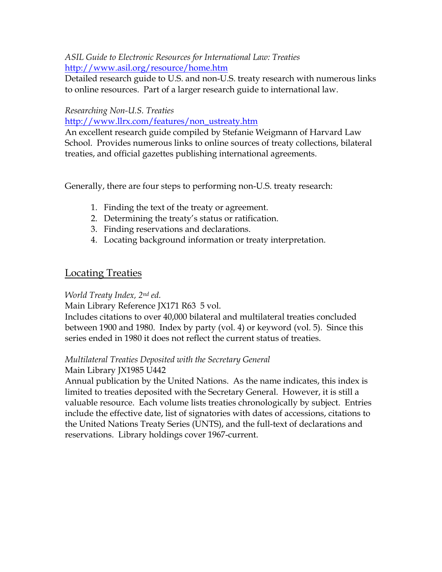### *ASIL Guide to Electronic Resources for International Law: Treaties*  <http://www.asil.org/resource/home.htm>

Detailed research guide to U.S. and non-U.S. treaty research with numerous links to online resources. Part of a larger research guide to international law.

#### *Researching Non-U.S. Treaties*

[http://www.llrx.com/features/non\\_ustreaty.htm](http://www.llrx.com/features/non_ustreaty.htm)

An excellent research guide compiled by Stefanie Weigmann of Harvard Law School. Provides numerous links to online sources of treaty collections, bilateral treaties, and official gazettes publishing international agreements.

Generally, there are four steps to performing non-U.S. treaty research:

- 1. Finding the text of the treaty or agreement.
- 2. Determining the treaty's status or ratification.
- 3. Finding reservations and declarations.
- 4. Locating background information or treaty interpretation.

# Locating Treaties

## *World Treaty Index, 2nd ed.*

Main Library Reference JX171 R63 5 vol.

Includes citations to over 40,000 bilateral and multilateral treaties concluded between 1900 and 1980. Index by party (vol. 4) or keyword (vol. 5). Since this series ended in 1980 it does not reflect the current status of treaties.

## *Multilateral Treaties Deposited with the Secretary General*

## Main Library JX1985 U442

Annual publication by the United Nations. As the name indicates, this index is limited to treaties deposited with the Secretary General. However, it is still a valuable resource. Each volume lists treaties chronologically by subject. Entries include the effective date, list of signatories with dates of accessions, citations to the United Nations Treaty Series (UNTS), and the full-text of declarations and reservations. Library holdings cover 1967-current.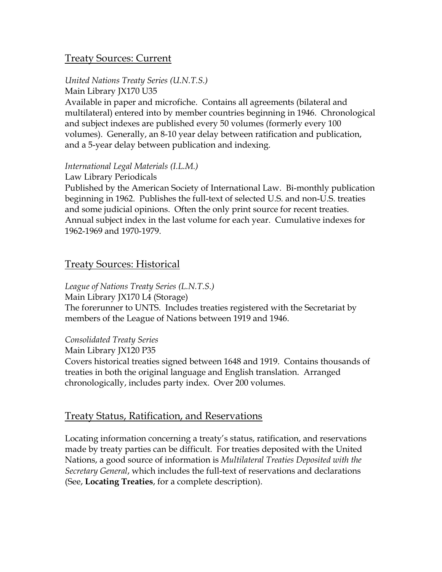## Treaty Sources: Current

### *United Nations Treaty Series (U.N.T.S.)*

Main Library JX170 U35 Available in paper and microfiche. Contains all agreements (bilateral and multilateral) entered into by member countries beginning in 1946. Chronological and subject indexes are published every 50 volumes (formerly every 100 volumes). Generally, an 8-10 year delay between ratification and publication, and a 5-year delay between publication and indexing.

#### *International Legal Materials (I.L.M.)*

Law Library Periodicals

Published by the American Society of International Law. Bi-monthly publication beginning in 1962. Publishes the full-text of selected U.S. and non-U.S. treaties and some judicial opinions. Often the only print source for recent treaties. Annual subject index in the last volume for each year. Cumulative indexes for 1962-1969 and 1970-1979.

## Treaty Sources: Historical

*League of Nations Treaty Series (L.N.T.S.)*  Main Library JX170 L4 (Storage) The forerunner to UNTS. Includes treaties registered with the Secretariat by members of the League of Nations between 1919 and 1946.

### *Consolidated Treaty Series*

Main Library JX120 P35

Covers historical treaties signed between 1648 and 1919. Contains thousands of treaties in both the original language and English translation. Arranged chronologically, includes party index. Over 200 volumes.

## Treaty Status, Ratification, and Reservations

Locating information concerning a treaty's status, ratification, and reservations made by treaty parties can be difficult. For treaties deposited with the United Nations, a good source of information is *Multilateral Treaties Deposited with the Secretary General*, which includes the full-text of reservations and declarations (See, **Locating Treaties**, for a complete description).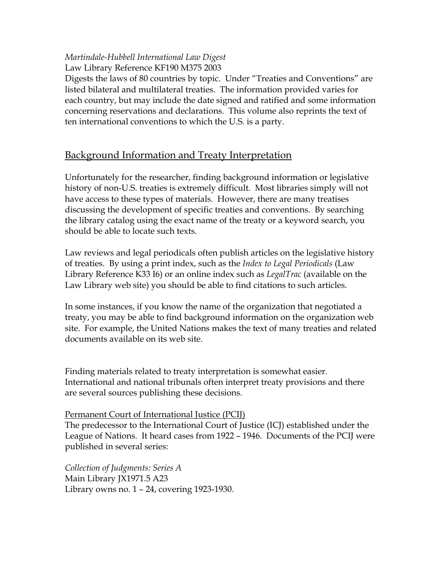### *Martindale-Hubbell International Law Digest*  Law Library Reference KF190 M375 2003

Digests the laws of 80 countries by topic. Under "Treaties and Conventions" are listed bilateral and multilateral treaties. The information provided varies for each country, but may include the date signed and ratified and some information concerning reservations and declarations. This volume also reprints the text of ten international conventions to which the U.S. is a party.

# Background Information and Treaty Interpretation

Unfortunately for the researcher, finding background information or legislative history of non-U.S. treaties is extremely difficult. Most libraries simply will not have access to these types of materials. However, there are many treatises discussing the development of specific treaties and conventions. By searching the library catalog using the exact name of the treaty or a keyword search, you should be able to locate such texts.

Law reviews and legal periodicals often publish articles on the legislative history of treaties. By using a print index, such as the *Index to Legal Periodicals* (Law Library Reference K33 I6) or an online index such as *LegalTrac* (available on the Law Library web site) you should be able to find citations to such articles.

In some instances, if you know the name of the organization that negotiated a treaty, you may be able to find background information on the organization web site. For example, the United Nations makes the text of many treaties and related documents available on its web site.

Finding materials related to treaty interpretation is somewhat easier. International and national tribunals often interpret treaty provisions and there are several sources publishing these decisions.

### Permanent Court of International Justice (PCIJ)

The predecessor to the International Court of Justice (ICJ) established under the League of Nations. It heard cases from 1922 – 1946. Documents of the PCIJ were published in several series:

*Collection of Judgments: Series A*  Main Library JX1971.5 A23 Library owns no. 1 – 24, covering 1923-1930.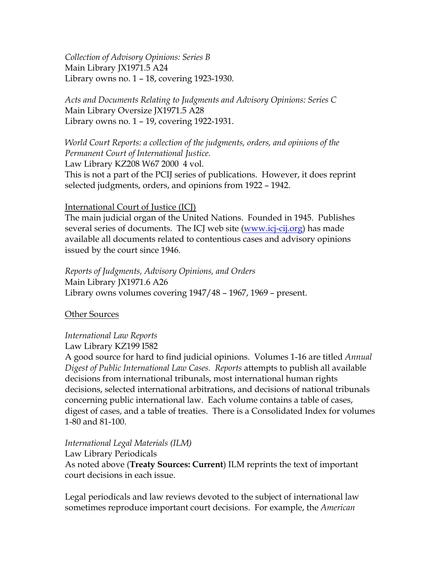*Collection of Advisory Opinions: Series B*  Main Library JX1971.5 A24 Library owns no. 1 – 18, covering 1923-1930.

*Acts and Documents Relating to Judgments and Advisory Opinions: Series C*  Main Library Oversize JX1971.5 A28 Library owns no. 1 – 19, covering 1922-1931.

*World Court Reports: a collection of the judgments, orders, and opinions of the Permanent Court of International Justice.*  Law Library KZ208 W67 2000 4 vol. This is not a part of the PCIJ series of publications. However, it does reprint selected judgments, orders, and opinions from 1922 – 1942.

#### International Court of Justice (ICJ)

The main judicial organ of the United Nations. Founded in 1945. Publishes several series of documents. The ICJ web site [\(www.icj-cij.org](http://www.icj-cij.org/)) has made available all documents related to contentious cases and advisory opinions issued by the court since 1946.

*Reports of Judgments, Advisory Opinions, and Orders*  Main Library JX1971.6 A26 Library owns volumes covering 1947/48 – 1967, 1969 – present.

Other Sources

#### *International Law Reports*

Law Library KZ199 I582

A good source for hard to find judicial opinions. Volumes 1-16 are titled *Annual Digest of Public International Law Cases. Reports* attempts to publish all available decisions from international tribunals, most international human rights decisions, selected international arbitrations, and decisions of national tribunals concerning public international law. Each volume contains a table of cases, digest of cases, and a table of treaties. There is a Consolidated Index for volumes 1-80 and 81-100.

*International Legal Materials (ILM)* 

Law Library Periodicals

As noted above (**Treaty Sources: Current**) ILM reprints the text of important court decisions in each issue.

Legal periodicals and law reviews devoted to the subject of international law sometimes reproduce important court decisions. For example, the *American*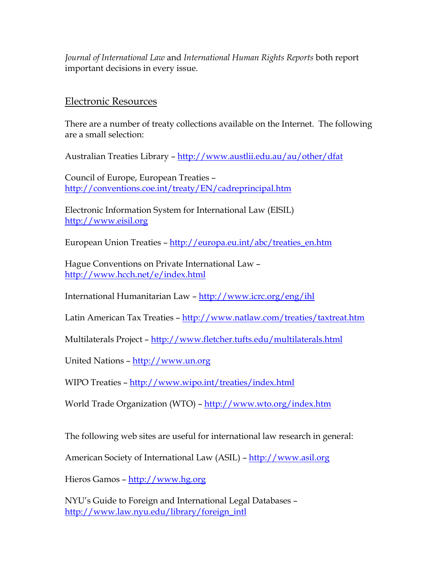*Journal of International Law* and *International Human Rights Reports* both report important decisions in every issue.

### Electronic Resources

There are a number of treaty collections available on the Internet. The following are a small selection:

Australian Treaties Library – <http://www.austlii.edu.au/au/other/dfat>

Council of Europe, European Treaties – <http://conventions.coe.int/treaty/EN/cadreprincipal.htm>

Electronic Information System for International Law (EISIL) [http://www.eisil.org](http://www.eisil.org/)

European Union Treaties – [http://europa.eu.int/abc/treaties\\_en.htm](http://europa.eu.int/abc/treaties_en.htm)

Hague Conventions on Private International Law – <http://www.hcch.net/e/index.html>

International Humanitarian Law – <http://www.icrc.org/eng/ihl>

Latin American Tax Treaties - <http://www.natlaw.com/treaties/taxtreat.htm>

Multilaterals Project –<http://www.fletcher.tufts.edu/multilaterals.html>

United Nations – [http://www.un.org](http://www.un.org/)

WIPO Treaties – <http://www.wipo.int/treaties/index.html>

World Trade Organization (WTO) -<http://www.wto.org/index.htm>

The following web sites are useful for international law research in general:

American Society of International Law (ASIL) – [http://www.asil.org](http://www.asil.org/)

Hieros Gamos – [http://www.hg.org](http://www.hg.org/)

NYU's Guide to Foreign and International Legal Databases – [http://www.law.nyu.edu/library/foreign\\_intl](http://www.law.nyu.edu/library/foreign_intl)